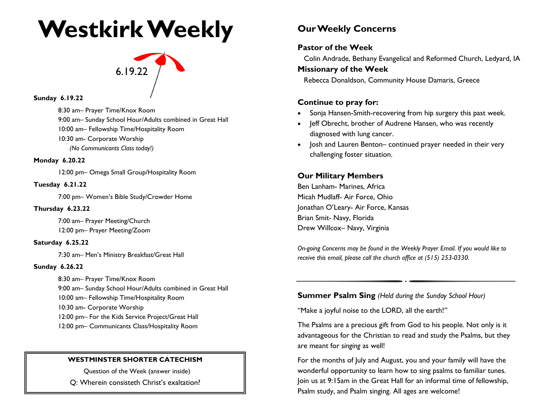## **Westkirk Weekly**

# $6.19.22$

#### **Sunday 6.19.22**

8:30 am– Prayer Time/Knox Room 9:00 am– Sunday School Hour/Adults combined in Great Hall 10:00 am– Fellowship Time/Hospitality Room 10:30 am- Corporate Worship *(No Communicants Class today!)*

#### **Monday 6.20.22**

12:00 pm– Omega Small Group/Hospitality Room

#### **Tuesday 6.21.22**

7:00 pm– Women's Bible Study/Crowder Home

#### **Thursday 6.23.22**

7:00 am– Prayer Meeting/Church 12:00 pm– Prayer Meeting/Zoom

#### **Saturday 6.25.22**

7:30 am– Men's Ministry Breakfast/Great Hall

#### **Sunday 6.26.22**

8:30 am– Prayer Time/Knox Room 9:00 am– Sunday School Hour/Adults combined in Great Hall 10:00 am– Fellowship Time/Hospitality Room 10:30 am- Corporate Worship 12:00 pm– For the Kids Service Project/Great Hall 12:00 pm– Communicants Class/Hospitality Room

#### **WESTMINSTER SHORTER CATECHISM**

Question of the Week (answer inside)

Q: Wherein consisteth Christ's exaltation?

## **Our Weekly Concerns**

### **Pastor of the Week**

Colin Andrade, Bethany Evangelical and Reformed Church, Ledyard, IA

#### **Missionary of the Week**

Rebecca Donaldson, Community House Damaris, Greece

#### **Continue to pray for:**

- Sonja Hansen-Smith-recovering from hip surgery this past week.
- Jeff Obrecht, brother of Audrene Hansen, who was recently diagnosed with lung cancer.
- Josh and Lauren Benton– continued prayer needed in their very challenging foster situation.

### **Our Military Members**

Ben Lanham- Marines, Africa Micah Mudlaff- Air Force, Ohio Jonathan O'Leary- Air Force, Kansas Brian Smit- Navy, Florida Drew Willcox– Navy, Virginia

*On-going Concerns may be found in the Weekly Prayer Email. If you would like to receive this email, please call the church office at (515) 253-0330.*

#### **Summer Psalm Sing** *(Held during the Sunday School Hour)*

"Make a joyful noise to the LORD, all the earth!"

The Psalms are a precious gift from God to his people. Not only is it advantageous for the Christian to read and study the Psalms, but they are meant for *singing* as well!

For the months of July and August, you and your family will have the wonderful opportunity to learn how to sing psalms to familiar tunes. Join us at 9:15am in the Great Hall for an informal time of fellowship, Psalm study, and Psalm singing. All ages are welcome!